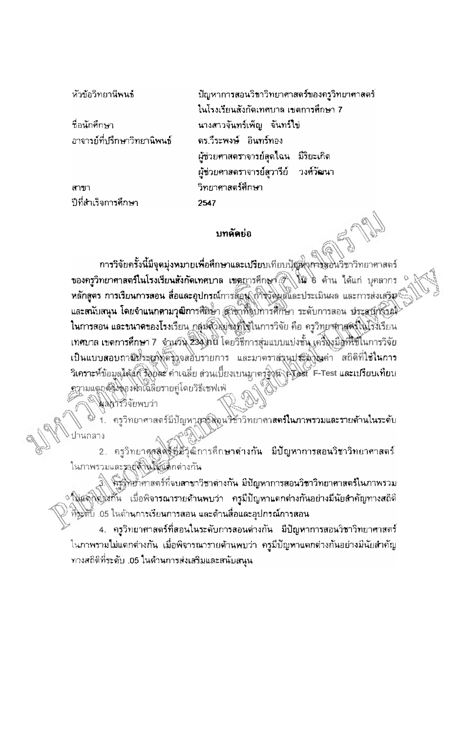ห้วข้อวิทยานิพนธ์

ชื่อนักศึกษา อาจารย์ที่ปรึกษาวิทยานิพนธ์

สาขา ปีที่สำเร็จการศึกษา

ปัญหาการสอนวิชาวิทยาศาสตร์ของครวิทยาศาสตร์ | ในโรงเรียนสังกัดเทศบาล เขตการศึกษา 7 นางสาวจันทร์เพ็ญ จันทร์ไข่ ดร.วีระพงษ์ อินทร์ทอง ผู้ช่วยศาสตราจารย์สุดใฉน มีริยะเกิด ผู้ช่วยศาสตราจารย์สวารีย์ | วงศ์วัฒนา วิทยาศาสตร์ศึกษา 2547

## บทคัดย่อ

การวิจัยครั้งนี้มีจุดมุ่งหมายเพื่อศึกษาและเปรียบเทียบนัยต่ำการตอนวิชาวิทยาศาสตร์ ของครูวิทยาศาสตร์ในโรงเรียนสังกัดเทศบาล เขตถารศึกษา ( ) ใน 6 ด้าน ได้แก่ บุคลากร หลักสูตร การเรียนการสอน สื่อและอุปกรณ์การสอน (การจัดผลและประเมินผล และการส่งเสริม® และสนับสนุน โดยจำแนกตามวุฒิการศึกษา สาขาที่จบการศึกษา ระดับการลอน ประสบกังรณ์ ในการสอน และขนาดของโรงเรียน กลุ่มด้วยย่องที่ใช้ในการวิจัย คือ ครูวิทยาตาสตร์ในโรงเรียน เทศบาล เขตการศึกษา 7 จำนวัน 234 กัน โดยวิธีการสุ่มแบบแบ่งชั้น เครื่องมีดูที่ใช้ในการวิจัย เป็นแบบสอบถามีชีวะผูกกัดชิงจสอบรายการ และมาตราส่งนปุระมาณค่า สถิติที่ใช้ในการ วิเคราะห์ข้อมูลได้แก้ รังยิดะ ค่าเฉลี่ย ส่วนเบี้ยงเบนมาตร์จิกนำไปอย F-Test และเปรียบเทียบ ดวามแตกต้องพองพักไฉลี่ยรายคู่โดยวิธีเซฟเฟ่

ผลการวิจัยพบว่า

้ครูวิทยาศาสตร์มีปัญหาสาธิสิตน<del>วิชา</del>วิทยาคา**ลตร์ในภาพรวมและรายด้านในระดั**บ

2. ครูวิทยาศุลสิตธ์ที่มีวุฒิการศึกษาต่างกัน มีปัญหาการสอนวิชาวิทยาศาสตร์ ในภาพรวมและรายสำนักเปิดกล่างกัน

3 จิริฐิพิยาศาสตร์ที่จบสาขาวิชาต่างกัน มีปัญหาการสอนวิชาวิทยาศาสตร์ในภาพรวม ึ ใงแลกิ่งปิ้งกัน เมื่อพิจารณารายด้านพบว่า ครูมีปัญหาแตกต่างกันอย่างมีนัยสำคัญทางสถิติ ้ที่ระดับ .05 ในด้านการเรียนการสอน และด้านสื่อและอุปกรณ์การสอน

4. ครูวิทยาศาสตร์ที่สอนในระดับการสอนต่างกัน มีปัญหาการสอนวิชาวิทยาศาสตร์ ในภาพรวมไม่แตกต่างกัน เมื่อพิจารณารายด้านพบว่า ครูมีปัญหาแตกต่างกันอย่างมีนัยสำคัญ ทางสถิติที่ระดับ .05 ในด้านการส่งเสริมและสนับสนุน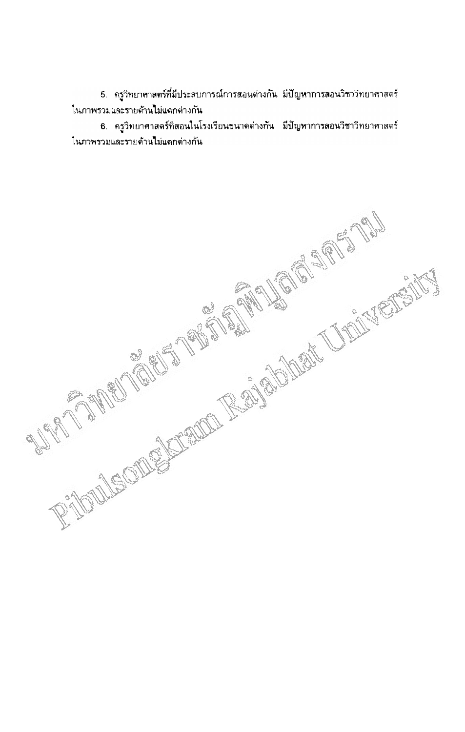5. ครูวิทยาศาสตร์ที่มีประสบการณ์การสอนต่างกัน มีปัญหาการลอนวิชาวิทยาศาสตร์ ในภาพรวมและรายด้านไม่แตกต่างกัน

6. ครูวิทยาศาสตร์ที่สอนในโรงเรียนขนาดด่างกัน มีปัญหาการสอนวิชาวิทยาศาสตร์ ในภาพรวมและรายด้วนไม่แตกต่างกัน

RADOUSOMENTS RESEARCH THE CONSTITUTION OF THE CONSTITUTION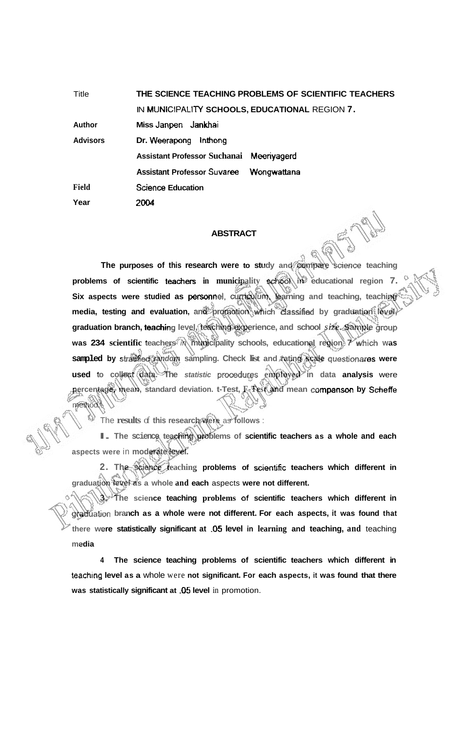Title **THE SCIENCE TEACHING PROBLEMS OF SCIENTIFIC TEACHERS**  IN **MUNIClPALITY SCHOOLS, EDUCATIONAL** REGION **7. Author Miss Janpen Jankhai Advisors Dr. Weerapong lnthong Assistant Professor Suchanai Meeriyagerd Assistant Professor Suvaree Wongwattana Science Education 2004 Field Year** 

## **ABSTRACT**

**The purposes of this research were to study and compare science teaching problems of scientific teachers in municipality school in educational region 7.** Six aspects were studied as personnel, curriculum, learning and teaching, teaching **media, testing and evaluation, and promotion Mich classified by graduation level, graduation branch, teading level, teaching experience, and school** *size.* **Sample group was 234 scientific teachers in municipality schools, educational region 7 which was sampled by sbatified random sampling. Check list and rating scale questionares were used** to collect data. The *statistic* procedures employed in data analysis were **percentage, mean, standard deviation. t-Test, F-Test and mean cornpanson by Scheffe**  method.'

The **results** of **this research were** as **follows** :

**I. The science teaching problems of scientific teachers as a whole and each aspects were** in **moderate level.** 

**2. The science teaching problems of scienbfic teachers which different in graduation level as a whole and each** aspects **were not different.** 

**3. The science teaching problems** of **scientific teachers which different in**  graduation branch as a whole were not different. For each aspects, it was found that **there were statistically significant at .05 level in learning and teaching, and** teaching **media** 

**4 The science teaching problems of scientific teachers which different in**  teaching level as a whole were not significant. For each aspects, it was found that there **was statistically significant at -05 level** in promotion.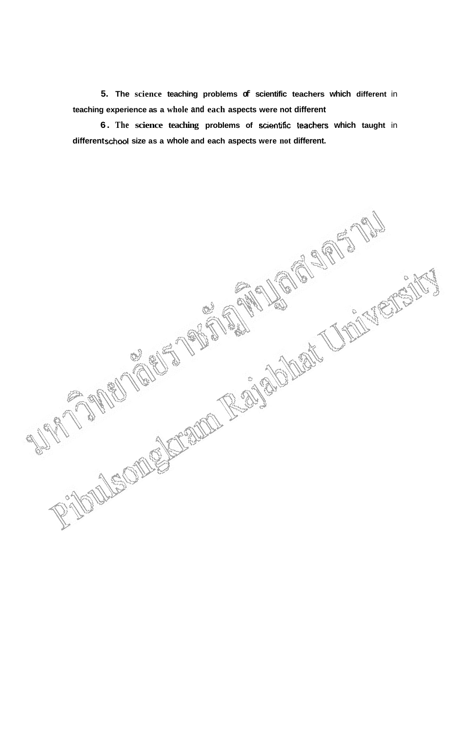**5. The science teaching problems of scientific teachers which different** in **teaching experience as a whole and each aspects were not different** 

**6. The science teaching problems of sdentific teachers which taught** in **different school size as a whole and each aspects were not different.** 

RIOUSCOMENTAL REGIONAL CONTROL DESCRIPTION